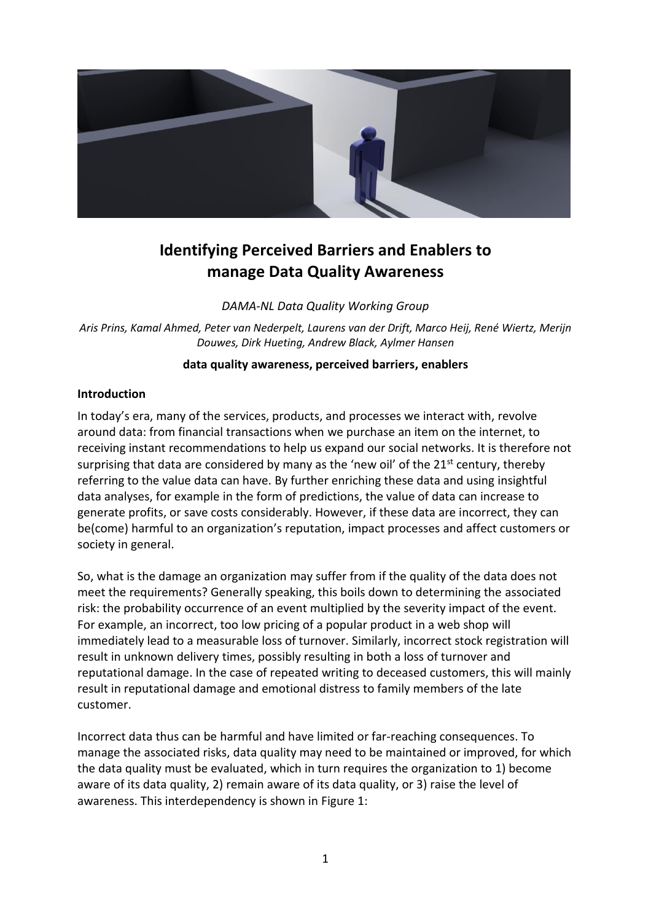

# **Identifying Perceived Barriers and Enablers to manage Data Quality Awareness**

*DAMA-NL Data Quality Working Group*

*Aris Prins, Kamal Ahmed, Peter van Nederpelt, Laurens van der Drift, Marco Heij, René Wiertz, Merijn Douwes, Dirk Hueting, Andrew Black, Aylmer Hansen*

### **data quality awareness, perceived barriers, enablers**

#### **Introduction**

In today's era, many of the services, products, and processes we interact with, revolve around data: from financial transactions when we purchase an item on the internet, to receiving instant recommendations to help us expand our social networks. It is therefore not surprising that data are considered by many as the 'new oil' of the  $21<sup>st</sup>$  century, thereby referring to the value data can have. By further enriching these data and using insightful data analyses, for example in the form of predictions, the value of data can increase to generate profits, or save costs considerably. However, if these data are incorrect, they can be(come) harmful to an organization's reputation, impact processes and affect customers or society in general.

So, what is the damage an organization may suffer from if the quality of the data does not meet the requirements? Generally speaking, this boils down to determining the associated risk: the probability occurrence of an event multiplied by the severity impact of the event. For example, an incorrect, too low pricing of a popular product in a web shop will immediately lead to a measurable loss of turnover. Similarly, incorrect stock registration will result in unknown delivery times, possibly resulting in both a loss of turnover and reputational damage. In the case of repeated writing to deceased customers, this will mainly result in reputational damage and emotional distress to family members of the late customer.

Incorrect data thus can be harmful and have limited or far-reaching consequences. To manage the associated risks, data quality may need to be maintained or improved, for which the data quality must be evaluated, which in turn requires the organization to 1) become aware of its data quality, 2) remain aware of its data quality, or 3) raise the level of awareness. This interdependency is shown in [Figure 1:](#page-1-0)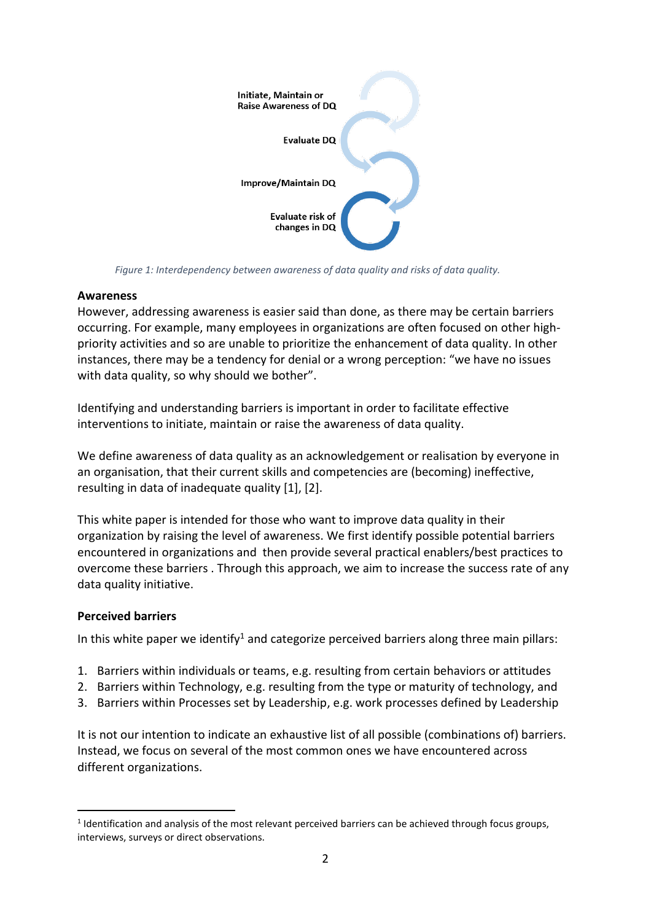

<span id="page-1-0"></span>*Figure 1: Interdependency between awareness of data quality and risks of data quality.*

### **Awareness**

However, addressing awareness is easier said than done, as there may be certain barriers occurring. For example, many employees in organizations are often focused on other highpriority activities and so are unable to prioritize the enhancement of data quality. In other instances, there may be a tendency for denial or a wrong perception: "we have no issues with data quality, so why should we bother".

Identifying and understanding barriers is important in order to facilitate effective interventions to initiate, maintain or raise the awareness of data quality.

We define awareness of data quality as an acknowledgement or realisation by everyone in an organisation, that their current skills and competencies are (becoming) ineffective, resulting in data of inadequate quality [1], [2].

This white paper is intended for those who want to improve data quality in their organization by raising the level of awareness. We first identify possible potential barriers encountered in organizations and then provide several practical enablers/best practices to overcome these barriers . Through this approach, we aim to increase the success rate of any data quality initiative.

## **Perceived barriers**

 $\overline{a}$ 

In this white paper we identify<sup>1</sup> and categorize perceived barriers along three main pillars:

- 1. Barriers within individuals or teams, e.g. resulting from certain behaviors or attitudes
- 2. Barriers within Technology, e.g. resulting from the type or maturity of technology, and
- 3. Barriers within Processes set by Leadership, e.g. work processes defined by Leadership

It is not our intention to indicate an exhaustive list of all possible (combinations of) barriers. Instead, we focus on several of the most common ones we have encountered across different organizations.

<sup>&</sup>lt;sup>1</sup> Identification and analysis of the most relevant perceived barriers can be achieved through focus groups, interviews, surveys or direct observations.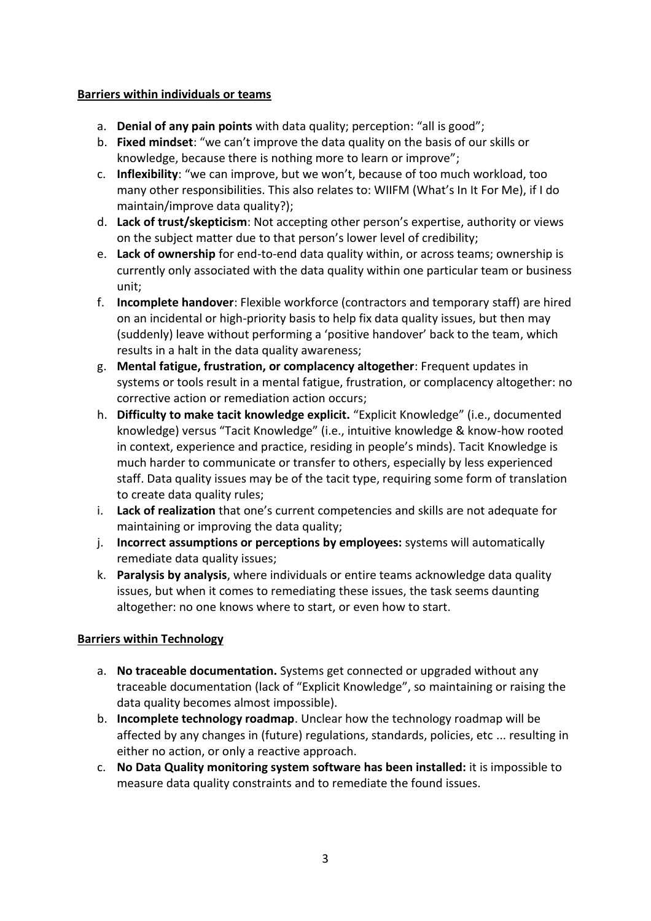## **Barriers within individuals or teams**

- a. **Denial of any pain points** with data quality; perception: "all is good";
- b. **Fixed mindset**: "we can't improve the data quality on the basis of our skills or knowledge, because there is nothing more to learn or improve";
- c. **Inflexibility**: "we can improve, but we won't, because of too much workload, too many other responsibilities. This also relates to: WIIFM (What's In It For Me), if I do maintain/improve data quality?);
- d. **Lack of trust/skepticism**: Not accepting other person's expertise, authority or views on the subject matter due to that person's lower level of credibility;
- e. **Lack of ownership** for end-to-end data quality within, or across teams; ownership is currently only associated with the data quality within one particular team or business unit;
- f. **Incomplete handover**: Flexible workforce (contractors and temporary staff) are hired on an incidental or high-priority basis to help fix data quality issues, but then may (suddenly) leave without performing a 'positive handover' back to the team, which results in a halt in the data quality awareness;
- g. **Mental fatigue, frustration, or complacency altogether**: Frequent updates in systems or tools result in a mental fatigue, frustration, or complacency altogether: no corrective action or remediation action occurs;
- h. **Difficulty to make tacit knowledge explicit.** "Explicit Knowledge" (i.e., documented knowledge) versus "Tacit Knowledge" (i.e., intuitive knowledge & know-how rooted in context, experience and practice, residing in people's minds). Tacit Knowledge is much harder to communicate or transfer to others, especially by less experienced staff. Data quality issues may be of the tacit type, requiring some form of translation to create data quality rules;
- i. **Lack of realization** that one's current competencies and skills are not adequate for maintaining or improving the data quality;
- j. **Incorrect assumptions or perceptions by employees:** systems will automatically remediate data quality issues;
- k. **Paralysis by analysis**, where individuals or entire teams acknowledge data quality issues, but when it comes to remediating these issues, the task seems daunting altogether: no one knows where to start, or even how to start.

## **Barriers within Technology**

- a. **No traceable documentation.** Systems get connected or upgraded without any traceable documentation (lack of "Explicit Knowledge", so maintaining or raising the data quality becomes almost impossible).
- b. **Incomplete technology roadmap**. Unclear how the technology roadmap will be affected by any changes in (future) regulations, standards, policies, etc ... resulting in either no action, or only a reactive approach.
- c. **No Data Quality monitoring system software has been installed:** it is impossible to measure data quality constraints and to remediate the found issues.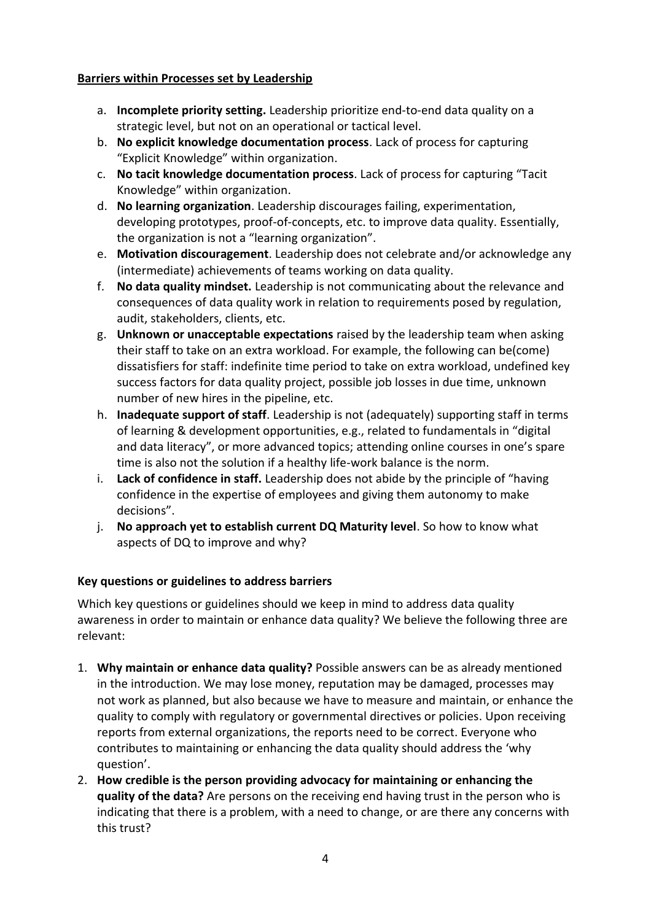## **Barriers within Processes set by Leadership**

- a. **Incomplete priority setting.** Leadership prioritize end-to-end data quality on a strategic level, but not on an operational or tactical level.
- b. **No explicit knowledge documentation process**. Lack of process for capturing "Explicit Knowledge" within organization.
- c. **No tacit knowledge documentation process**. Lack of process for capturing "Tacit Knowledge" within organization.
- d. **No learning organization**. Leadership discourages failing, experimentation, developing prototypes, proof-of-concepts, etc. to improve data quality. Essentially, the organization is not a "learning organization".
- e. **Motivation discouragement**. Leadership does not celebrate and/or acknowledge any (intermediate) achievements of teams working on data quality.
- f. **No data quality mindset.** Leadership is not communicating about the relevance and consequences of data quality work in relation to requirements posed by regulation, audit, stakeholders, clients, etc.
- g. **Unknown or unacceptable expectations** raised by the leadership team when asking their staff to take on an extra workload. For example, the following can be(come) dissatisfiers for staff: indefinite time period to take on extra workload, undefined key success factors for data quality project, possible job losses in due time, unknown number of new hires in the pipeline, etc.
- h. **Inadequate support of staff**. Leadership is not (adequately) supporting staff in terms of learning & development opportunities, e.g., related to fundamentals in "digital and data literacy", or more advanced topics; attending online courses in one's spare time is also not the solution if a healthy life-work balance is the norm.
- i. **Lack of confidence in staff.** Leadership does not abide by the principle of "having confidence in the expertise of employees and giving them autonomy to make decisions".
- j. **No approach yet to establish current DQ Maturity level**. So how to know what aspects of DQ to improve and why?

## **Key questions or guidelines to address barriers**

Which key questions or guidelines should we keep in mind to address data quality awareness in order to maintain or enhance data quality? We believe the following three are relevant:

- 1. **Why maintain or enhance data quality?** Possible answers can be as already mentioned in the introduction. We may lose money, reputation may be damaged, processes may not work as planned, but also because we have to measure and maintain, or enhance the quality to comply with regulatory or governmental directives or policies. Upon receiving reports from external organizations, the reports need to be correct. Everyone who contributes to maintaining or enhancing the data quality should address the 'why question'.
- 2. **How credible is the person providing advocacy for maintaining or enhancing the quality of the data?** Are persons on the receiving end having trust in the person who is indicating that there is a problem, with a need to change, or are there any concerns with this trust?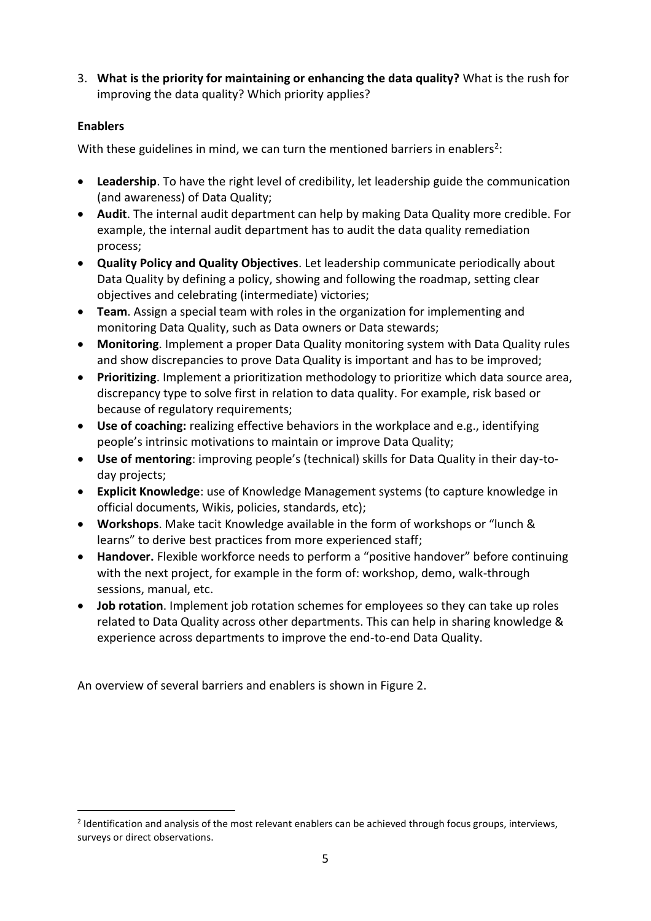3. **What is the priority for maintaining or enhancing the data quality?** What is the rush for improving the data quality? Which priority applies?

## **Enablers**

 $\overline{a}$ 

With these guidelines in mind, we can turn the mentioned barriers in enablers<sup>2</sup>:

- **Leadership**. To have the right level of credibility, let leadership guide the communication (and awareness) of Data Quality;
- **Audit**. The internal audit department can help by making Data Quality more credible. For example, the internal audit department has to audit the data quality remediation process;
- **Quality Policy and Quality Objectives**. Let leadership communicate periodically about Data Quality by defining a policy, showing and following the roadmap, setting clear objectives and celebrating (intermediate) victories;
- **Team**. Assign a special team with roles in the organization for implementing and monitoring Data Quality, such as Data owners or Data stewards;
- **Monitoring**. Implement a proper Data Quality monitoring system with Data Quality rules and show discrepancies to prove Data Quality is important and has to be improved;
- **Prioritizing**. Implement a prioritization methodology to prioritize which data source area, discrepancy type to solve first in relation to data quality. For example, risk based or because of regulatory requirements;
- **Use of coaching:** realizing effective behaviors in the workplace and e.g., identifying people's intrinsic motivations to maintain or improve Data Quality;
- **Use of mentoring**: improving people's (technical) skills for Data Quality in their day-today projects;
- **Explicit Knowledge**: use of Knowledge Management systems (to capture knowledge in official documents, Wikis, policies, standards, etc);
- **Workshops**. Make tacit Knowledge available in the form of workshops or "lunch & learns" to derive best practices from more experienced staff;
- **Handover.** Flexible workforce needs to perform a "positive handover" before continuing with the next project, for example in the form of: workshop, demo, walk-through sessions, manual, etc.
- **Job rotation**. Implement job rotation schemes for employees so they can take up roles related to Data Quality across other departments. This can help in sharing knowledge & experience across departments to improve the end-to-end Data Quality.

An overview of several barriers and enablers is shown in [Figure 2.](#page-5-0)

<sup>&</sup>lt;sup>2</sup> Identification and analysis of the most relevant enablers can be achieved through focus groups, interviews, surveys or direct observations.